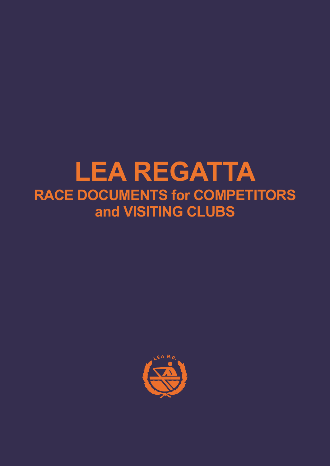# **LEA REGATTA RACE DOCUMENTS for COMPETITORS and VISITING CLUBS**

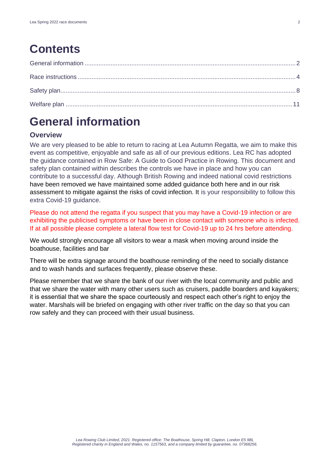# **Contents**

# <span id="page-1-0"></span>**General information**

### **Overview**

We are very pleased to be able to return to racing at Lea Autumn Regatta, we aim to make this event as competitive, enjoyable and safe as all of our previous editions. Lea RC has adopted the guidance contained in Row Safe: A Guide to Good Practice in Rowing. This document and safety plan contained within describes the controls we have in place and how you can contribute to a successful day. Although British Rowing and indeed national covid restrictions have been removed we have maintained some added guidance both here and in our risk assessment to mitigate against the risks of covid infection. It is your responsibility to follow this extra Covid-19 guidance.

Please do not attend the regatta if you suspect that you may have a Covid-19 infection or are exhibiting the publicised symptoms or have been in close contact with someone who is infected. If at all possible please complete a lateral flow test for Covid-19 up to 24 hrs before attending.

We would strongly encourage all visitors to wear a mask when moving around inside the boathouse, facilities and bar

There will be extra signage around the boathouse reminding of the need to socially distance and to wash hands and surfaces frequently, please observe these.

Please remember that we share the bank of our river with the local community and public and that we share the water with many other users such as cruisers, paddle boarders and kayakers; it is essential that we share the space courteously and respect each other's right to enjoy the water. Marshals will be briefed on engaging with other river traffic on the day so that you can row safely and they can proceed with their usual business.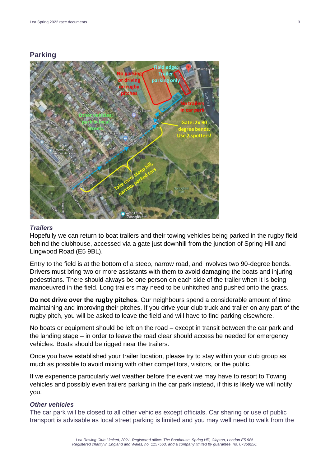#### **Parking**



#### *Trailers*

Hopefully we can return to boat trailers and their towing vehicles being parked in the rugby field behind the clubhouse, accessed via a gate just downhill from the junction of Spring Hill and Lingwood Road (E5 9BL).

Entry to the field is at the bottom of a steep, narrow road, and involves two 90-degree bends. Drivers must bring two or more assistants with them to avoid damaging the boats and injuring pedestrians. There should always be one person on each side of the trailer when it is being manoeuvred in the field. Long trailers may need to be unhitched and pushed onto the grass.

**Do not drive over the rugby pitches**. Our neighbours spend a considerable amount of time maintaining and improving their pitches. If you drive your club truck and trailer on any part of the rugby pitch, you will be asked to leave the field and will have to find parking elsewhere.

No boats or equipment should be left on the road – except in transit between the car park and the landing stage – in order to leave the road clear should access be needed for emergency vehicles. Boats should be rigged near the trailers.

Once you have established your trailer location, please try to stay within your club group as much as possible to avoid mixing with other competitors, visitors, or the public.

If we experience particularly wet weather before the event we may have to resort to Towing vehicles and possibly even trailers parking in the car park instead, if this is likely we will notify you.

#### *Other vehicles*

The car park will be closed to all other vehicles except officials. Car sharing or use of public transport is advisable as local street parking is limited and you may well need to walk from the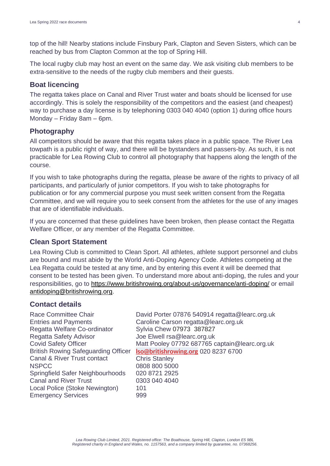top of the hill! Nearby stations include Finsbury Park, Clapton and Seven Sisters, which can be reached by bus from Clapton Common at the top of Spring Hill.

The local rugby club may host an event on the same day. We ask visiting club members to be extra-sensitive to the needs of the rugby club members and their guests.

#### **Boat licencing**

The regatta takes place on Canal and River Trust water and boats should be licensed for use accordingly. This is solely the responsibility of the competitors and the easiest (and cheapest) way to purchase a day license is by telephoning 0303 040 4040 (option 1) during office hours Monday – Friday 8am – 6pm.

#### **Photography**

All competitors should be aware that this regatta takes place in a public space. The River Lea towpath is a public right of way, and there will be bystanders and passers-by. As such, it is not practicable for Lea Rowing Club to control all photography that happens along the length of the course.

If you wish to take photographs during the regatta, please be aware of the rights to privacy of all participants, and particularly of junior competitors. If you wish to take photographs for publication or for any commercial purpose you must seek written consent from the Regatta Committee, and we will require you to seek consent from the athletes for the use of any images that are of identifiable individuals.

If you are concerned that these guidelines have been broken, then please contact the Regatta Welfare Officer, or any member of the Regatta Committee.

#### **Clean Sport Statement**

Lea Rowing Club is committed to Clean Sport. All athletes, athlete support personnel and clubs are bound and must abide by the World Anti-Doping Agency Code. Athletes competing at the Lea Regatta could be tested at any time, and by entering this event it will be deemed that consent to be tested has been given. To understand more about anti-doping, the rules and your responsibilities, go to<https://www.britishrowing.org/about-us/governance/anti-doping/> or email [antidoping@britishrowing.org.](mailto:antidoping@britishrowing.org)

#### **Contact details**

Entries and Payments Regatta Welfare Co-ordinator Regatta Safety Advisor Joe Elwell rsa@learc.org.uk Covid Safety Officer British Rowing Safeguarding Officer Canal & River Trust contact NSPCC 0808 800 5000 Springfield Safer Neighbourhoods 020 8721 2925 Canal and River Trust 0303 040 4040 Local Police (Stoke Newington) 101 Emergency Services 999

Race Committee Chair David Porter 07876 540914 regatta@learc.org.uk Caroline Carson regatta@learc.org.uk Sylvia Chew 07973 387827 Matt Pooley 07792 687765 captain@learc.org.uk **[lso@britishrowing.org](mailto:lso@britishrowing.org)** 020 8237 6700

<span id="page-3-0"></span>Chris Stanley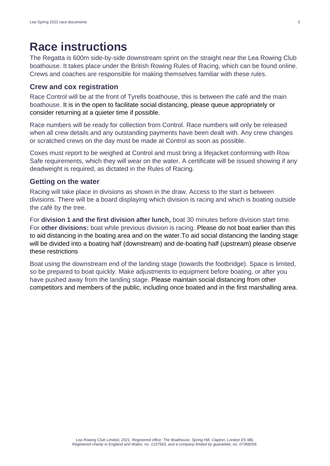## **Race instructions**

The Regatta is 600m side-by-side downstream sprint on the straight near the Lea Rowing Club boathouse. It takes place under the British Rowing Rules of Racing, which can be found online. Crews and coaches are responsible for making themselves familiar with these rules.

#### **Crew and cox registration**

Race Control will be at the front of Tyrells boathouse, this is between the café and the main boathouse. It is in the open to facilitate social distancing, please queue appropriately or consider returning at a quieter time if possible.

Race numbers will be ready for collection from Control. Race numbers will only be released when all crew details and any outstanding payments have been dealt with. Any crew changes or scratched crews on the day must be made at Control as soon as possible.

Coxes must report to be weighed at Control and must bring a lifejacket conforming with Row Safe requirements, which they will wear on the water. A certificate will be issued showing if any deadweight is required, as dictated in the Rules of Racing.

#### **Getting on the water**

Racing will take place in divisions as shown in the draw. Access to the start is between divisions. There will be a board displaying which division is racing and which is boating outside the café by the tree.

For **division 1 and the first division after lunch,** boat 30 minutes before division start time. For **other divisions:** boat while previous division is racing. Please do not boat earlier than this to aid distancing in the boating area and on the water.To aid social distancing the landing stage will be divided into a boating half (downstream) and de-boating half (upstream) please observe these restrictions

Boat using the downstream end of the landing stage (towards the footbridge). Space is limited, so be prepared to boat quickly. Make adjustments to equipment before boating, or after you have pushed away from the landing stage. Please maintain social distancing from other competitors and members of the public, including once boated and in the first marshalling area.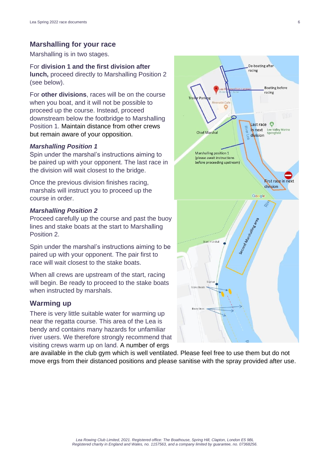#### **Marshalling for your race**

Marshalling is in two stages.

#### For **division 1 and the first division after**

**lunch,** proceed directly to Marshalling Position 2 (see below).

For **other divisions**, races will be on the course when you boat, and it will not be possible to proceed up the course. Instead, proceed downstream below the footbridge to Marshalling Position 1. Maintain distance from other crews but remain aware of your opposition.

#### *Marshalling Position 1*

Spin under the marshal's instructions aiming to be paired up with your opponent. The last race in the division will wait closest to the bridge.

Once the previous division finishes racing, marshals will instruct you to proceed up the course in order.

#### *Marshalling Position 2*

Proceed carefully up the course and past the buoy lines and stake boats at the start to Marshalling Position 2.

Spin under the marshal's instructions aiming to be paired up with your opponent. The pair first to race will wait closest to the stake boats.

When all crews are upstream of the start, racing will begin. Be ready to proceed to the stake boats when instructed by marshals.

#### **Warming up**

There is very little suitable water for warming up near the regatta course. This area of the Lea is bendy and contains many hazards for unfamiliar river users. We therefore strongly recommend that visiting crews warm up on land. A number of ergs

De-boating after racing **Boating before** racing Last race  $\bullet$ in next Lee Valley Marina **Chief Marshal** Springfield division Marshalling position 1 (please await instructions) before proceeding upstream) **First race in next** division Google Second Management  $C + n + n$ arshal

are available in the club gym which is well ventilated. Please feel free to use them but do not move ergs from their distanced positions and please sanitise with the spray provided after use.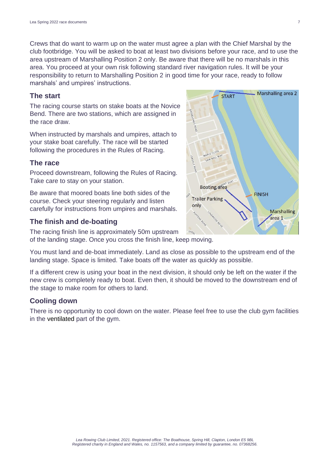Crews that do want to warm up on the water must agree a plan with the Chief Marshal by the club footbridge. You will be asked to boat at least two divisions before your race, and to use the area upstream of Marshalling Position 2 only. Be aware that there will be no marshals in this area. You proceed at your own risk following standard river navigation rules. It will be your responsibility to return to Marshalling Position 2 in good time for your race, ready to follow marshals' and umpires' instructions.

#### **The start**

The racing course starts on stake boats at the Novice Bend. There are two stations, which are assigned in the race draw.

When instructed by marshals and umpires, attach to your stake boat carefully. The race will be started following the procedures in the Rules of Racing.

#### **The race**

Proceed downstream, following the Rules of Racing. Take care to stay on your station.

Be aware that moored boats line both sides of the course. Check your steering regularly and listen carefully for instructions from umpires and marshals.

#### **The finish and de-boating**

The racing finish line is approximately 50m upstream

of the landing stage. Once you cross the finish line, keep moving.

You must land and de-boat immediately. Land as close as possible to the upstream end of the landing stage. Space is limited. Take boats off the water as quickly as possible.

If a different crew is using your boat in the next division, it should only be left on the water if the new crew is completely ready to boat. Even then, it should be moved to the downstream end of the stage to make room for others to land.

#### **Cooling down**

<span id="page-6-0"></span>There is no opportunity to cool down on the water. Please feel free to use the club gym facilities in the ventilated part of the gym.

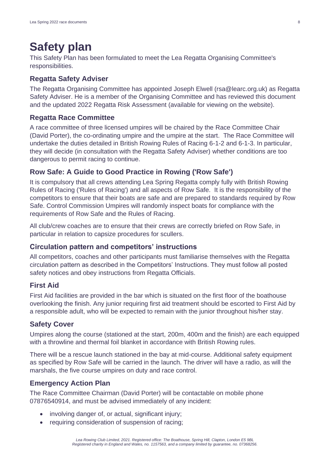# **Safety plan**

This Safety Plan has been formulated to meet the Lea Regatta Organising Committee's responsibilities.

#### **Regatta Safety Adviser**

The Regatta Organising Committee has appointed Joseph Elwell (rsa@learc.org.uk) as Regatta Safety Adviser. He is a member of the Organising Committee and has reviewed this document and the updated 2022 Regatta Risk Assessment (available for viewing on the website).

#### **Regatta Race Committee**

A race committee of three licensed umpires will be chaired by the Race Committee Chair (David Porter), the co-ordinating umpire and the umpire at the start. The Race Committee will undertake the duties detailed in British Rowing Rules of Racing 6-1-2 and 6-1-3. In particular, they will decide (in consultation with the Regatta Safety Adviser) whether conditions are too dangerous to permit racing to continue.

#### **Row Safe: A Guide to Good Practice in Rowing ('Row Safe')**

It is compulsory that all crews attending Lea Spring Regatta comply fully with British Rowing Rules of Racing ('Rules of Racing') and all aspects of Row Safe. It is the responsibility of the competitors to ensure that their boats are safe and are prepared to standards required by Row Safe. Control Commission Umpires will randomly inspect boats for compliance with the requirements of Row Safe and the Rules of Racing.

All club/crew coaches are to ensure that their crews are correctly briefed on Row Safe, in particular in relation to capsize procedures for scullers.

#### **Circulation pattern and competitors' instructions**

All competitors, coaches and other participants must familiarise themselves with the Regatta circulation pattern as described in the Competitors' Instructions. They must follow all posted safety notices and obey instructions from Regatta Officials.

#### **First Aid**

First Aid facilities are provided in the bar which is situated on the first floor of the boathouse overlooking the finish. Any junior requiring first aid treatment should be escorted to First Aid by a responsible adult, who will be expected to remain with the junior throughout his/her stay.

#### **Safety Cover**

Umpires along the course (stationed at the start, 200m, 400m and the finish) are each equipped with a throwline and thermal foil blanket in accordance with British Rowing rules.

There will be a rescue launch stationed in the bay at mid-course. Additional safety equipment as specified by Row Safe will be carried in the launch. The driver will have a radio, as will the marshals, the five course umpires on duty and race control.

#### **Emergency Action Plan**

The Race Committee Chairman (David Porter) will be contactable on mobile phone 07876540914, and must be advised immediately of any incident:

- involving danger of, or actual, significant injury;
- requiring consideration of suspension of racing;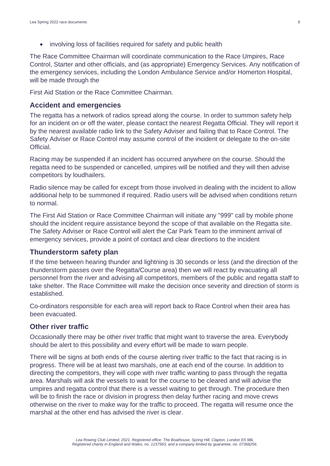• involving loss of facilities required for safety and public health

The Race Committee Chairman will coordinate communication to the Race Umpires, Race Control, Starter and other officials, and (as appropriate) Emergency Services. Any notification of the emergency services, including the London Ambulance Service and/or Homerton Hospital, will be made through the

First Aid Station or the Race Committee Chairman.

#### **Accident and emergencies**

The regatta has a network of radios spread along the course. In order to summon safety help for an incident on or off the water, please contact the nearest Regatta Official. They will report it by the nearest available radio link to the Safety Adviser and failing that to Race Control. The Safety Adviser or Race Control may assume control of the incident or delegate to the on-site Official.

Racing may be suspended if an incident has occurred anywhere on the course. Should the regatta need to be suspended or cancelled, umpires will be notified and they will then advise competitors by loudhailers.

Radio silence may be called for except from those involved in dealing with the incident to allow additional help to be summoned if required. Radio users will be advised when conditions return to normal.

The First Aid Station or Race Committee Chairman will initiate any "999" call by mobile phone should the incident require assistance beyond the scope of that available on the Regatta site. The Safety Adviser or Race Control will alert the Car Park Team to the imminent arrival of emergency services, provide a point of contact and clear directions to the incident

#### **Thunderstorm safety plan**

If the time between hearing thunder and lightning is 30 seconds or less (and the direction of the thunderstorm passes over the Regatta/Course area) then we will react by evacuating all personnel from the river and advising all competitors, members of the public and regatta staff to take shelter. The Race Committee will make the decision once severity and direction of storm is established.

Co-ordinators responsible for each area will report back to Race Control when their area has been evacuated.

#### **Other river traffic**

Occasionally there may be other river traffic that might want to traverse the area. Everybody should be alert to this possibility and every effort will be made to warn people.

There will be signs at both ends of the course alerting river traffic to the fact that racing is in progress. There will be at least two marshals, one at each end of the course. In addition to directing the competitors, they will cope with river traffic wanting to pass through the regatta area. Marshals will ask the vessels to wait for the course to be cleared and will advise the umpires and regatta control that there is a vessel waiting to get through. The procedure then will be to finish the race or division in progress then delay further racing and move crews otherwise on the river to make way for the traffic to proceed. The regatta will resume once the marshal at the other end has advised the river is clear.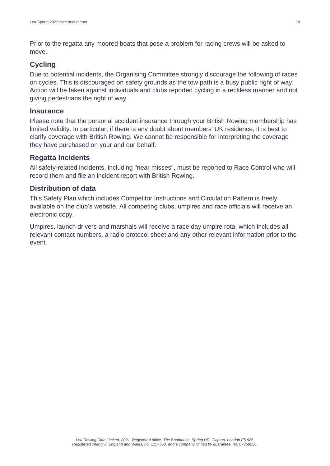Prior to the regatta any moored boats that pose a problem for racing crews will be asked to move.

### **Cycling**

Due to potential incidents, the Organising Committee strongly discourage the following of races on cycles. This is discouraged on safety grounds as the tow path is a busy public right of way. Action will be taken against individuals and clubs reported cycling in a reckless manner and not giving pedestrians the right of way.

### **Insurance**

Please note that the personal accident insurance through your British Rowing membership has limited validity. In particular, if there is any doubt about members' UK residence, it is best to clarify coverage with British Rowing. We cannot be responsible for interpreting the coverage they have purchased on your and our behalf.

### **Regatta Incidents**

All safety-related incidents, including "near misses", must be reported to Race Control who will record them and file an incident report with British Rowing.

### **Distribution of data**

This Safety Plan which includes Competitor Instructions and Circulation Pattern is freely available on the club's website. All competing clubs, umpires and race officials will receive an electronic copy.

Umpires, launch drivers and marshals will receive a race day umpire rota, which includes all relevant contact numbers, a radio protocol sheet and any other relevant information prior to the event.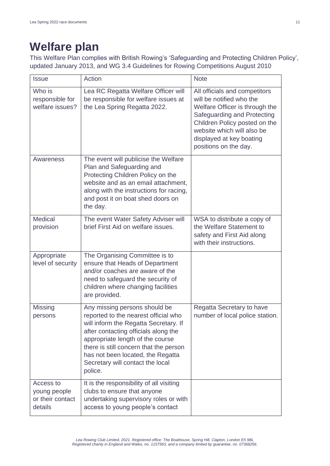# <span id="page-10-0"></span>**Welfare plan**

This Welfare Plan complies with British Rowing's 'Safeguarding and Protecting Children Policy', updated January 2013, and WG 3.4 Guidelines for Rowing Competitions August 2010

| <b>Issue</b>                                             | Action                                                                                                                                                                                                                                                                                                                   | <b>Note</b>                                                                                                                                                                                                                                    |
|----------------------------------------------------------|--------------------------------------------------------------------------------------------------------------------------------------------------------------------------------------------------------------------------------------------------------------------------------------------------------------------------|------------------------------------------------------------------------------------------------------------------------------------------------------------------------------------------------------------------------------------------------|
| Who is<br>responsible for<br>welfare issues?             | Lea RC Regatta Welfare Officer will<br>be responsible for welfare issues at<br>the Lea Spring Regatta 2022.                                                                                                                                                                                                              | All officials and competitors<br>will be notified who the<br>Welfare Officer is through the<br>Safeguarding and Protecting<br>Children Policy posted on the<br>website which will also be<br>displayed at key boating<br>positions on the day. |
| <b>Awareness</b>                                         | The event will publicise the Welfare<br>Plan and Safeguarding and<br>Protecting Children Policy on the<br>website and as an email attachment,<br>along with the instructions for racing,<br>and post it on boat shed doors on<br>the day.                                                                                |                                                                                                                                                                                                                                                |
| <b>Medical</b><br>provision                              | The event Water Safety Adviser will<br>brief First Aid on welfare issues.                                                                                                                                                                                                                                                | WSA to distribute a copy of<br>the Welfare Statement to<br>safety and First Aid along<br>with their instructions.                                                                                                                              |
| Appropriate<br>level of security                         | The Organising Committee is to<br>ensure that Heads of Department<br>and/or coaches are aware of the<br>need to safeguard the security of<br>children where changing facilities<br>are provided.                                                                                                                         |                                                                                                                                                                                                                                                |
| <b>Missing</b><br>persons                                | Any missing persons should be<br>reported to the nearest official who<br>will inform the Regatta Secretary. If<br>after contacting officials along the<br>appropriate length of the course<br>there is still concern that the person<br>has not been located, the Regatta<br>Secretary will contact the local<br>police. | Regatta Secretary to have<br>number of local police station.                                                                                                                                                                                   |
| Access to<br>young people<br>or their contact<br>details | It is the responsibility of all visiting<br>clubs to ensure that anyone<br>undertaking supervisory roles or with<br>access to young people's contact                                                                                                                                                                     |                                                                                                                                                                                                                                                |